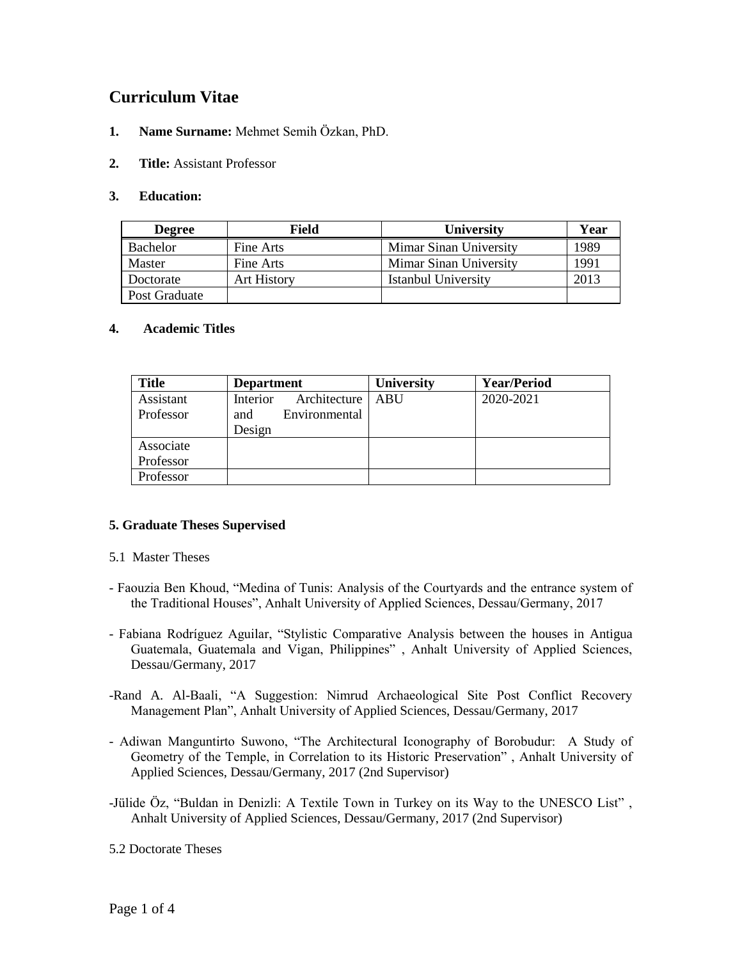# **Curriculum Vitae**

- **1. Name Surname:** Mehmet Semih Özkan, PhD.
- **2. Title:** Assistant Professor

#### **3. Education:**

| <b>Degree</b>   | Field              | <b>University</b>      | Year |
|-----------------|--------------------|------------------------|------|
| <b>Bachelor</b> | Fine Arts          | Mimar Sinan University | 1989 |
| Master          | Fine Arts          | Mimar Sinan University | 1991 |
| Doctorate       | <b>Art History</b> | Istanbul University    | 2013 |
| Post Graduate   |                    |                        |      |

#### **4. Academic Titles**

| <b>Title</b> | <b>Department</b>          | <b>University</b> | <b>Year/Period</b> |  |
|--------------|----------------------------|-------------------|--------------------|--|
| Assistant    | Architecture  <br>Interior | ABU               | 2020-2021          |  |
| Professor    | Environmental<br>and       |                   |                    |  |
|              | Design                     |                   |                    |  |
| Associate    |                            |                   |                    |  |
| Professor    |                            |                   |                    |  |
| Professor    |                            |                   |                    |  |

#### **5. Graduate Theses Supervised**

- 5.1 Master Theses
- Faouzia Ben Khoud, "Medina of Tunis: Analysis of the Courtyards and the entrance system of the Traditional Houses", Anhalt University of Applied Sciences, Dessau/Germany, 2017
- Fabiana Rodríguez Aguilar, "Stylistic Comparative Analysis between the houses in Antigua Guatemala, Guatemala and Vigan, Philippines" , Anhalt University of Applied Sciences, Dessau/Germany, 2017
- -Rand A. Al-Baali, "A Suggestion: Nimrud Archaeological Site Post Conflict Recovery Management Plan", Anhalt University of Applied Sciences, Dessau/Germany, 2017
- Adiwan Manguntirto Suwono, "The Architectural Iconography of Borobudur: A Study of Geometry of the Temple, in Correlation to its Historic Preservation" , Anhalt University of Applied Sciences, Dessau/Germany, 2017 (2nd Supervisor)
- -Jülide Öz, "Buldan in Denizli: A Textile Town in Turkey on its Way to the UNESCO List" , Anhalt University of Applied Sciences, Dessau/Germany, 2017 (2nd Supervisor)

5.2 Doctorate Theses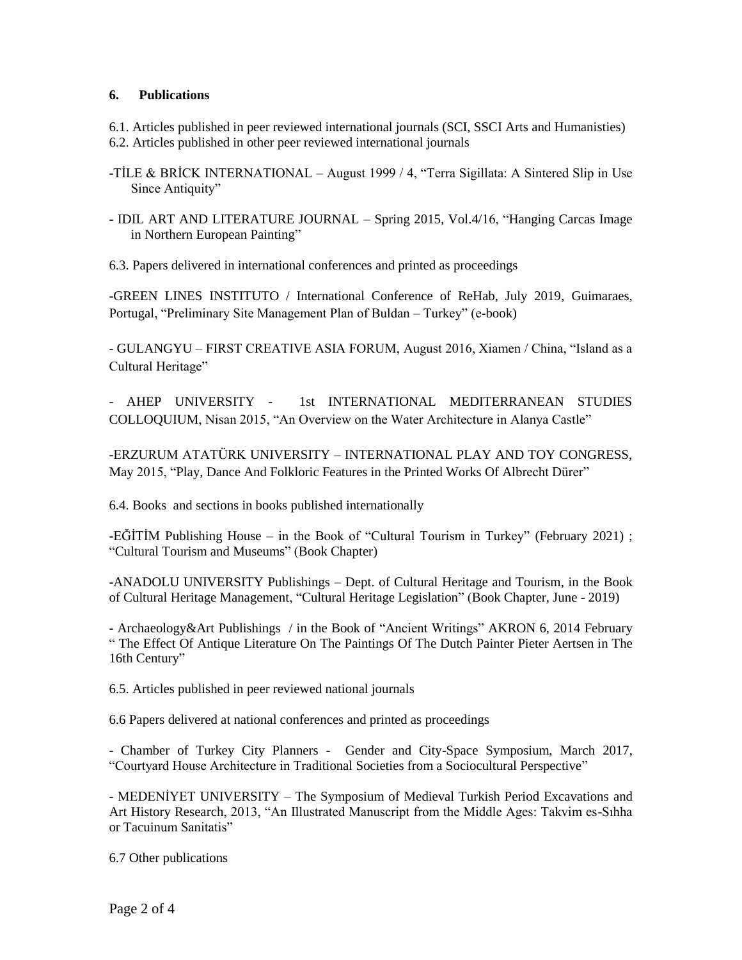#### **6. Publications**

6.1. Articles published in peer reviewed international journals (SCI, SSCI Arts and Humanisties) 6.2. Articles published in other peer reviewed international journals

- -TİLE & BRİCK INTERNATIONAL August 1999 / 4, "Terra Sigillata: A Sintered Slip in Use Since Antiquity"
- IDIL ART AND LITERATURE JOURNAL Spring 2015, Vol.4/16, "Hanging Carcas Image in Northern European Painting"

6.3. Papers delivered in international conferences and printed as proceedings

-GREEN LINES INSTITUTO / International Conference of ReHab, July 2019, Guimaraes, Portugal, "Preliminary Site Management Plan of Buldan – Turkey" (e-book)

- GULANGYU – FIRST CREATIVE ASIA FORUM, August 2016, Xiamen / China, "Island as a Cultural Heritage"

- AHEP UNIVERSITY - 1st INTERNATIONAL MEDITERRANEAN STUDIES COLLOQUIUM, Nisan 2015, "An Overview on the Water Architecture in Alanya Castle"

-ERZURUM ATATÜRK UNIVERSITY – INTERNATIONAL PLAY AND TOY CONGRESS, May 2015, "Play, Dance And Folkloric Features in the Printed Works Of Albrecht Dürer"

6.4. Books and sections in books published internationally

 $-E\ddot{\text{G}}$ TTM Publishing House – in the Book of "Cultural Tourism in Turkey" (February 2021) ; "Cultural Tourism and Museums" (Book Chapter)

-ANADOLU UNIVERSITY Publishings – Dept. of Cultural Heritage and Tourism, in the Book of Cultural Heritage Management, "Cultural Heritage Legislation" (Book Chapter, June - 2019)

- Archaeology&Art Publishings / in the Book of "Ancient Writings" AKRON 6, 2014 February " The Effect Of Antique Literature On The Paintings Of The Dutch Painter Pieter Aertsen in The 16th Century"

6.5. Articles published in peer reviewed national journals

6.6 Papers delivered at national conferences and printed as proceedings

- Chamber of Turkey City Planners - Gender and City-Space Symposium, March 2017, "Courtyard House Architecture in Traditional Societies from a Sociocultural Perspective"

- MEDENİYET UNIVERSITY – The Symposium of Medieval Turkish Period Excavations and Art History Research, 2013, "An Illustrated Manuscript from the Middle Ages: Takvim es-Sıhha or Tacuinum Sanitatis"

6.7 Other publications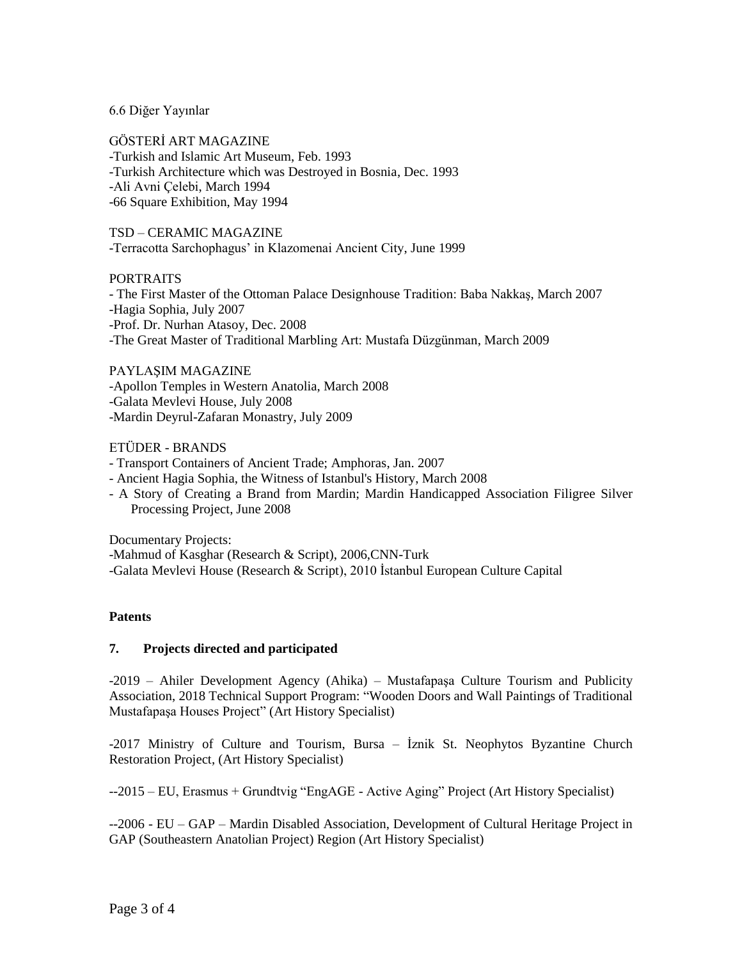#### 6.6 Diğer Yayınlar

GÖSTERİ ART MAGAZINE -Turkish and Islamic Art Museum, Feb. 1993 -Turkish Architecture which was Destroyed in Bosnia, Dec. 1993 -Ali Avni Çelebi, March 1994 -66 Square Exhibition, May 1994

TSD – CERAMIC MAGAZINE -Terracotta Sarchophagus' in Klazomenai Ancient City, June 1999

#### PORTRAITS

- The First Master of the Ottoman Palace Designhouse Tradition: Baba Nakkaş, March 2007 -Hagia Sophia, July 2007 -Prof. Dr. Nurhan Atasoy, Dec. 2008 -The Great Master of Traditional Marbling Art: Mustafa Düzgünman, March 2009

PAYLAŞIM MAGAZINE -Apollon Temples in Western Anatolia, March 2008 -Galata Mevlevi House, July 2008 -Mardin Deyrul-Zafaran Monastry, July 2009

#### ETÜDER - BRANDS

- Transport Containers of Ancient Trade; Amphoras, Jan. 2007

- Ancient Hagia Sophia, the Witness of Istanbul's History, March 2008

- A Story of Creating a Brand from Mardin; Mardin Handicapped Association Filigree Silver Processing Project, June 2008

Documentary Projects:

-Mahmud of Kasghar (Research & Script), 2006,CNN-Turk -Galata Mevlevi House (Research & Script), 2010 Ġstanbul European Culture Capital

#### **Patents**

#### **7. Projects directed and participated**

 $-2019$  – Ahiler Development Agency (Ahika) – Mustafapasa Culture Tourism and Publicity Association, 2018 Technical Support Program: "Wooden Doors and Wall Paintings of Traditional MustafapaĢa Houses Project" (Art History Specialist)

-2017 Ministry of Culture and Tourism, Bursa – Ġznik St. Neophytos Byzantine Church Restoration Project, (Art History Specialist)

--2015 – EU, Erasmus + Grundtvig "EngAGE - Active Aging" Project (Art History Specialist)

--2006 - EU – GAP – Mardin Disabled Association, Development of Cultural Heritage Project in GAP (Southeastern Anatolian Project) Region (Art History Specialist)